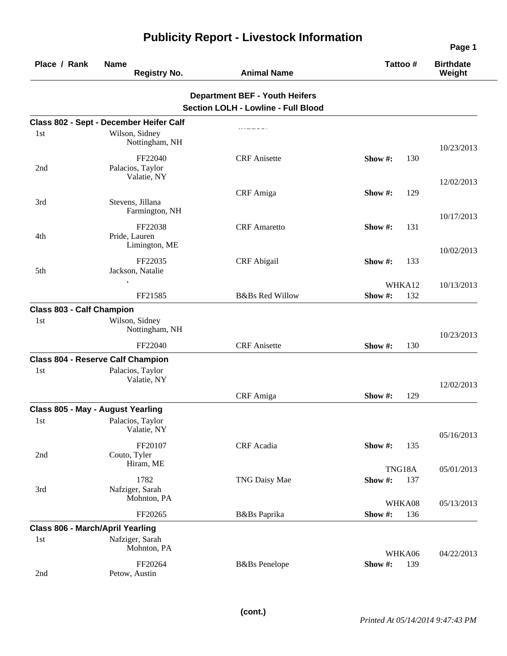| Place / Rank                            | <b>Name</b><br><b>Registry No.</b>       | <b>Animal Name</b>                         | Tattoo# |     | <b>Birthdate</b><br>Weight |
|-----------------------------------------|------------------------------------------|--------------------------------------------|---------|-----|----------------------------|
|                                         |                                          | <b>Department BEF - Youth Heifers</b>      |         |     |                            |
|                                         |                                          | <b>Section LOLH - Lowline - Full Blood</b> |         |     |                            |
|                                         | Class 802 - Sept - December Heifer Calf  |                                            |         |     |                            |
| 1st                                     | Wilson, Sidney                           |                                            |         |     |                            |
|                                         | Nottingham, NH                           |                                            |         |     |                            |
|                                         | FF22040                                  | <b>CRF</b> Anisette                        | Show #: | 130 | 10/23/2013                 |
| 2nd                                     | Palacios, Taylor                         |                                            |         |     |                            |
|                                         | Valatie, NY                              |                                            |         |     | 12/02/2013                 |
|                                         |                                          | CRF Amiga                                  | Show #: | 129 |                            |
| 3rd                                     | Stevens, Jillana                         |                                            |         |     |                            |
|                                         | Farmington, NH                           |                                            |         |     | 10/17/2013                 |
|                                         | FF22038                                  | <b>CRF</b> Amaretto                        | Show #: | 131 |                            |
| 4th                                     | Pride, Lauren                            |                                            |         |     |                            |
|                                         | Limington, ME                            |                                            |         |     | 10/02/2013                 |
|                                         | FF22035                                  | <b>CRF</b> Abigail                         | Show #: | 133 |                            |
| 5th                                     | Jackson, Natalie                         |                                            |         |     |                            |
|                                         |                                          |                                            | WHKA12  |     | 10/13/2013                 |
|                                         | FF21585                                  | <b>B&amp;Bs Red Willow</b>                 | Show#:  | 132 |                            |
| <b>Class 803 - Calf Champion</b>        |                                          |                                            |         |     |                            |
| 1st                                     | Wilson, Sidney                           |                                            |         |     |                            |
|                                         | Nottingham, NH                           |                                            |         |     | 10/23/2013                 |
|                                         | FF22040                                  | <b>CRF</b> Anisette                        | Show #: | 130 |                            |
|                                         | <b>Class 804 - Reserve Calf Champion</b> |                                            |         |     |                            |
| 1st                                     | Palacios, Taylor                         |                                            |         |     |                            |
|                                         | Valatie, NY                              |                                            |         |     | 12/02/2013                 |
|                                         |                                          | CRF Amiga                                  | Show #: | 129 |                            |
|                                         | Class 805 - May - August Yearling        |                                            |         |     |                            |
| 1st                                     | Palacios, Taylor                         |                                            |         |     |                            |
|                                         | Valatie, NY                              |                                            |         |     | 05/16/2013                 |
|                                         | FF20107                                  | CRF Acadia                                 | Show #: | 135 |                            |
| 2nd                                     | Couto, Tyler                             |                                            |         |     |                            |
|                                         | Hiram, ME                                |                                            | TNG18A  |     | 05/01/2013                 |
|                                         | 1782                                     | TNG Daisy Mae                              | Show #: | 137 |                            |
| 3rd                                     | Nafziger, Sarah                          |                                            |         |     |                            |
|                                         | Mohnton, PA                              |                                            | WHKA08  |     | 05/13/2013                 |
|                                         | FF20265                                  | B&Bs Paprika                               | Show#:  | 136 |                            |
| <b>Class 806 - March/April Yearling</b> |                                          |                                            |         |     |                            |
| 1st                                     | Nafziger, Sarah                          |                                            |         |     |                            |
|                                         | Mohnton, PA                              |                                            | WHKA06  |     | 04/22/2013                 |
|                                         | FF20264                                  | <b>B</b> &Bs Penelope                      | Show#:  | 139 |                            |
| 2nd                                     | Petow, Austin                            |                                            |         |     |                            |

## **Publicity Report - Livestock Information**

**Page 1**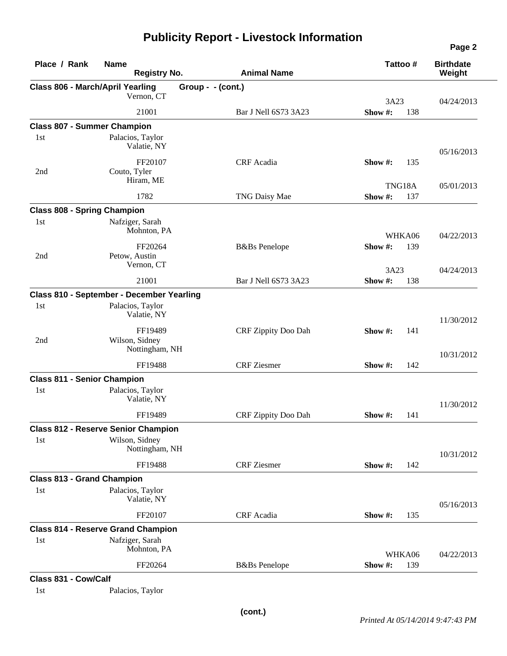## **Publicity Report - Livestock Information**

| Place / Rank                            | <b>Name</b><br><b>Registry No.</b>          | <b>Animal Name</b>    |         | Tattoo# | <b>Birthdate</b><br>Weight |
|-----------------------------------------|---------------------------------------------|-----------------------|---------|---------|----------------------------|
| <b>Class 806 - March/April Yearling</b> |                                             | Group - - (cont.)     |         |         |                            |
|                                         | Vernon, CT                                  |                       | 3A23    |         | 04/24/2013                 |
|                                         | 21001                                       | Bar J Nell 6S73 3A23  | Show#:  | 138     |                            |
| <b>Class 807 - Summer Champion</b>      |                                             |                       |         |         |                            |
| 1 <sub>st</sub>                         | Palacios, Taylor<br>Valatie, NY             |                       |         |         | 05/16/2013                 |
| 2nd                                     | FF20107<br>Couto, Tyler                     | CRF Acadia            | Show #: | 135     |                            |
|                                         | Hiram, ME                                   |                       |         | TNG18A  | 05/01/2013                 |
|                                         | 1782                                        | TNG Daisy Mae         | Show#:  | 137     |                            |
| <b>Class 808 - Spring Champion</b>      |                                             |                       |         |         |                            |
| 1st                                     | Nafziger, Sarah<br>Mohnton, PA              |                       |         | WHKA06  | 04/22/2013                 |
|                                         | FF20264                                     | <b>B</b> &Bs Penelope | Show#:  | 139     |                            |
| 2nd                                     | Petow, Austin<br>Vernon, CT                 |                       | 3A23    |         | 04/24/2013                 |
|                                         | 21001                                       | Bar J Nell 6S73 3A23  | Show#:  | 138     |                            |
|                                         | Class 810 - September - December Yearling   |                       |         |         |                            |
| 1 <sub>st</sub>                         | Palacios, Taylor<br>Valatie, NY             |                       |         |         | 11/30/2012                 |
| 2nd                                     | FF19489<br>Wilson, Sidney<br>Nottingham, NH | CRF Zippity Doo Dah   | Show #: | 141     |                            |
|                                         | FF19488                                     | <b>CRF</b> Ziesmer    | Show #: | 142     | 10/31/2012                 |
| <b>Class 811 - Senior Champion</b>      |                                             |                       |         |         |                            |
| 1st                                     | Palacios, Taylor<br>Valatie, NY             |                       |         |         | 11/30/2012                 |
|                                         | FF19489                                     | CRF Zippity Doo Dah   | Show #: | 141     |                            |
|                                         | <b>Class 812 - Reserve Senior Champion</b>  |                       |         |         |                            |
| 1st                                     | Wilson, Sidney<br>Nottingham, NH            |                       |         |         | 10/31/2012                 |
|                                         | FF19488                                     | <b>CRF</b> Ziesmer    | Show #: | 142     |                            |
| <b>Class 813 - Grand Champion</b>       |                                             |                       |         |         |                            |
| 1st                                     | Palacios, Taylor<br>Valatie, NY             |                       |         |         | 05/16/2013                 |
|                                         | FF20107                                     | CRF Acadia            | Show #: | 135     |                            |
|                                         | <b>Class 814 - Reserve Grand Champion</b>   |                       |         |         |                            |
| 1st                                     | Nafziger, Sarah<br>Mohnton, PA              |                       |         | WHKA06  | 04/22/2013                 |
|                                         | FF20264                                     | <b>B</b> &Bs Penelope | Show #: | 139     |                            |
| Class 831 - Cow/Calf                    |                                             |                       |         |         |                            |
| 1st                                     | Palacios, Taylor                            |                       |         |         |                            |

**Page 2**